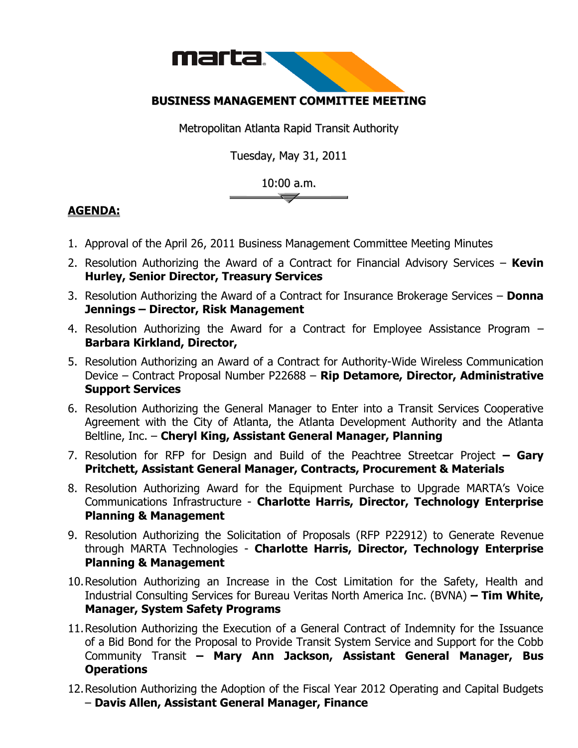

## **BUSINESS MANAGEMENT COMMITTEE MEETING**

Metropolitan Atlanta Rapid Transit Authority

Tuesday, May 31, 2011

## 10:00 a.m.

## **AGENDA:**

- 1. Approval of the April 26, 2011 Business Management Committee Meeting Minutes
- 2. Resolution Authorizing the Award of a Contract for Financial Advisory Services **Kevin Hurley, Senior Director, Treasury Services**
- 3. Resolution Authorizing the Award of a Contract for Insurance Brokerage Services **Donna Jennings – Director, Risk Management**
- 4. Resolution Authorizing the Award for a Contract for Employee Assistance Program **Barbara Kirkland, Director,**
- 5. Resolution Authorizing an Award of a Contract for Authority-Wide Wireless Communication Device – Contract Proposal Number P22688 – **Rip Detamore, Director, Administrative Support Services**
- 6. Resolution Authorizing the General Manager to Enter into a Transit Services Cooperative Agreement with the City of Atlanta, the Atlanta Development Authority and the Atlanta Beltline, Inc. – **Cheryl King, Assistant General Manager, Planning**
- 7. Resolution for RFP for Design and Build of the Peachtree Streetcar Project **– Gary Pritchett, Assistant General Manager, Contracts, Procurement & Materials**
- 8. Resolution Authorizing Award for the Equipment Purchase to Upgrade MARTA's Voice Communications Infrastructure - **Charlotte Harris, Director, Technology Enterprise Planning & Management**
- 9. Resolution Authorizing the Solicitation of Proposals (RFP P22912) to Generate Revenue through MARTA Technologies - **Charlotte Harris, Director, Technology Enterprise Planning & Management**
- 10.Resolution Authorizing an Increase in the Cost Limitation for the Safety, Health and Industrial Consulting Services for Bureau Veritas North America Inc. (BVNA) **– Tim White, Manager, System Safety Programs**
- 11.Resolution Authorizing the Execution of a General Contract of Indemnity for the Issuance of a Bid Bond for the Proposal to Provide Transit System Service and Support for the Cobb Community Transit **– Mary Ann Jackson, Assistant General Manager, Bus Operations**
- 12.Resolution Authorizing the Adoption of the Fiscal Year 2012 Operating and Capital Budgets – **Davis Allen, Assistant General Manager, Finance**